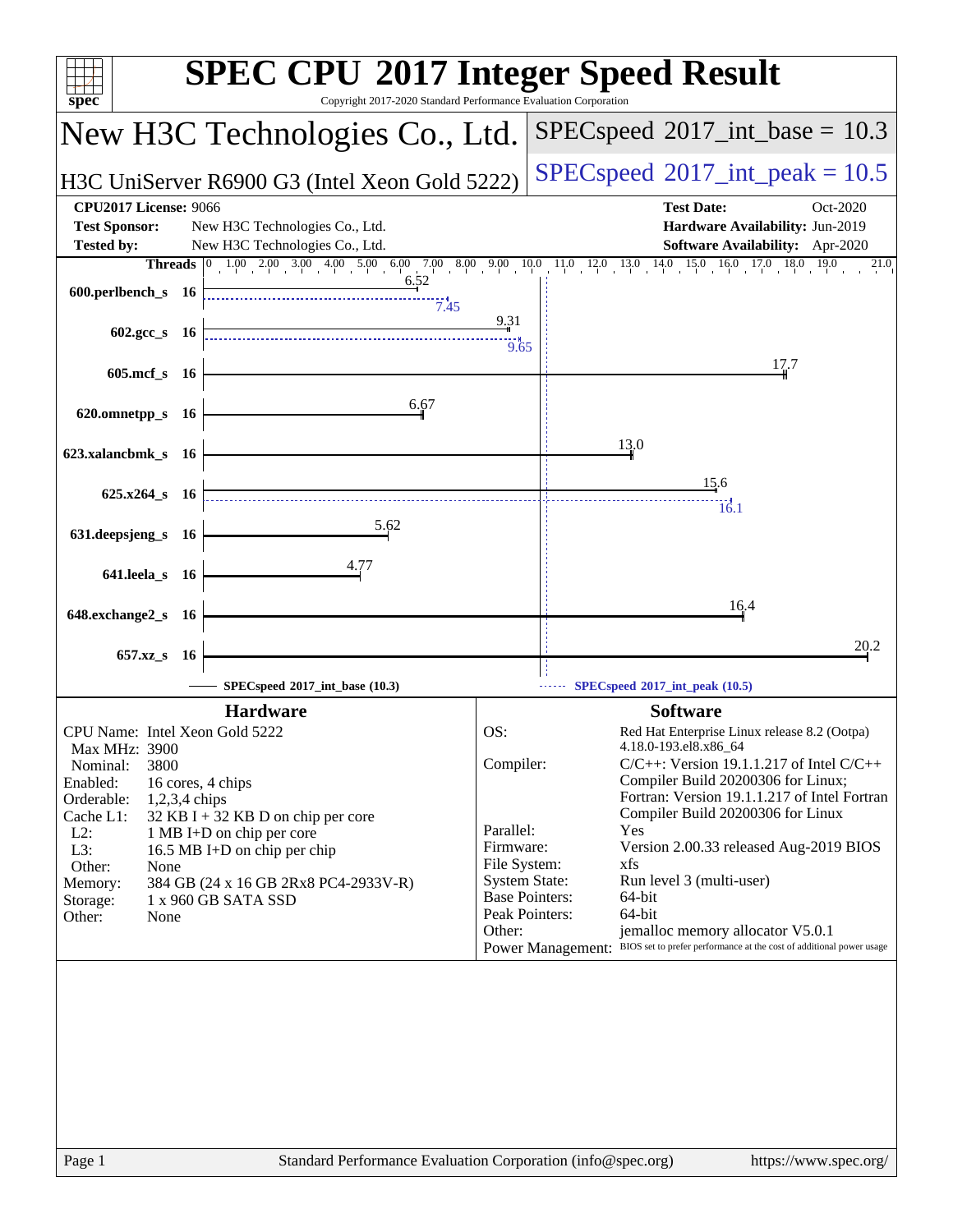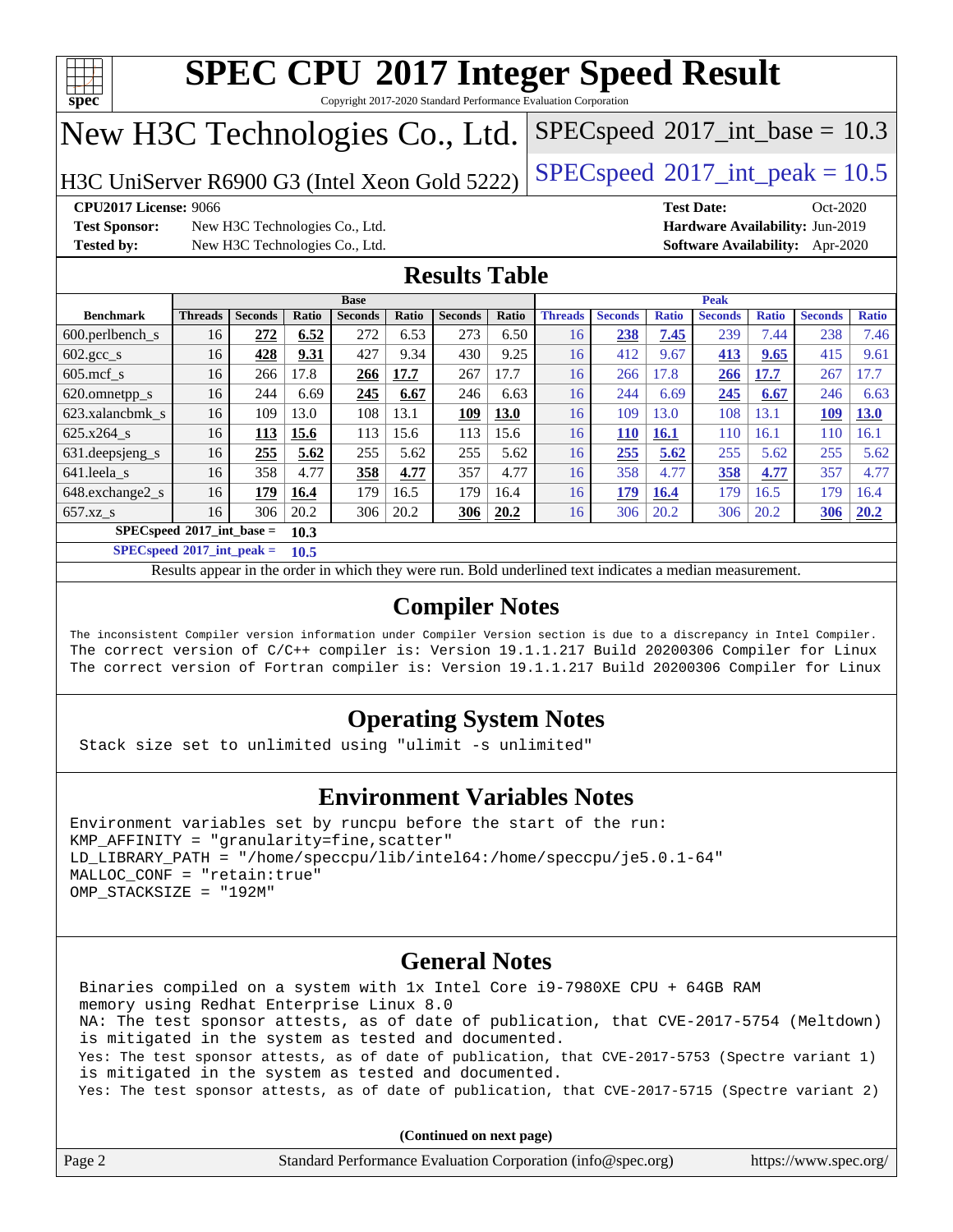

Copyright 2017-2020 Standard Performance Evaluation Corporation

## New H3C Technologies Co., Ltd.

H3C UniServer R6900 G3 (Intel Xeon Gold 5222) [SPECspeed](http://www.spec.org/auto/cpu2017/Docs/result-fields.html#SPECspeed2017intpeak)®2017\_int\_peak =  $10.5$ 

 $SPECspeed^{\circ}2017\_int\_base = 10.3$  $SPECspeed^{\circ}2017\_int\_base = 10.3$ 

**[Test Sponsor:](http://www.spec.org/auto/cpu2017/Docs/result-fields.html#TestSponsor)** New H3C Technologies Co., Ltd. **[Hardware Availability:](http://www.spec.org/auto/cpu2017/Docs/result-fields.html#HardwareAvailability)** Jun-2019 **[Tested by:](http://www.spec.org/auto/cpu2017/Docs/result-fields.html#Testedby)** New H3C Technologies Co., Ltd. **[Software Availability:](http://www.spec.org/auto/cpu2017/Docs/result-fields.html#SoftwareAvailability)** Apr-2020

**[CPU2017 License:](http://www.spec.org/auto/cpu2017/Docs/result-fields.html#CPU2017License)** 9066 **[Test Date:](http://www.spec.org/auto/cpu2017/Docs/result-fields.html#TestDate)** Oct-2020

## **[Results Table](http://www.spec.org/auto/cpu2017/Docs/result-fields.html#ResultsTable)**

|                                     | <b>Base</b>    |                |       |                |       |                | <b>Peak</b> |                |                |              |                |              |                |              |
|-------------------------------------|----------------|----------------|-------|----------------|-------|----------------|-------------|----------------|----------------|--------------|----------------|--------------|----------------|--------------|
| <b>Benchmark</b>                    | <b>Threads</b> | <b>Seconds</b> | Ratio | <b>Seconds</b> | Ratio | <b>Seconds</b> | Ratio       | <b>Threads</b> | <b>Seconds</b> | <b>Ratio</b> | <b>Seconds</b> | <b>Ratio</b> | <b>Seconds</b> | <b>Ratio</b> |
| $600.$ perlbench $\mathsf{S}$       | 16             | 272            | 6.52  | 272            | 6.53  | 273            | 6.50        | 16             | 238            | 7.45         | 239            | 7.44         | 238            | 7.46         |
| $602.\text{gcc}\_\text{s}$          | 16             | 428            | 9.31  | 427            | 9.34  | 430            | 9.25        | 16             | 412            | 9.67         | 413            | 9.65         | 415            | 9.61         |
| $605$ .mcf s                        | 16             | 266            | 17.8  | 266            | 17.7  | 267            | 17.7        | 16             | 266            | 17.8         | 266            | 17.7         | 267            | 17.7         |
| 620.omnetpp_s                       | 16             | 244            | 6.69  | 245            | 6.67  | 246            | 6.63        | 16             | 244            | 6.69         | 245            | 6.67         | 246            | 6.63         |
| 623.xalancbmk s                     | 16             | 109            | 13.0  | 108            | 13.1  | 109            | <b>13.0</b> | 16             | 109            | 13.0         | 108            | 13.1         | 109            | <b>13.0</b>  |
| 625.x264 s                          | 16             | 113            | 15.6  | 113            | 15.6  | 113            | 15.6        | 16             | 110            | 16.1         | 110            | 16.1         | 110            | 16.1         |
| 631. deepsjeng_s                    | 16             | 255            | 5.62  | 255            | 5.62  | 255            | 5.62        | 16             | 255            | 5.62         | 255            | 5.62         | 255            | 5.62         |
| 641.leela s                         | 16             | 358            | 4.77  | 358            | 4.77  | 357            | 4.77        | 16             | 358            | 4.77         | 358            | 4.77         | 357            | 4.77         |
| 648.exchange2_s                     | 16             | 179            | 16.4  | 179            | 16.5  | 179            | 16.4        | 16             | 179            | 16.4         | 179            | 16.5         | 179            | 16.4         |
| $657.xz$ s                          | 16             | 306            | 20.2  | 306            | 20.2  | 306            | 20.2        | 16             | 306            | 20.2         | 306            | 20.2         | 306            | 20.2         |
| $SPECspeed*2017$ int base =<br>10.3 |                |                |       |                |       |                |             |                |                |              |                |              |                |              |

**[SPECspeed](http://www.spec.org/auto/cpu2017/Docs/result-fields.html#SPECspeed2017intpeak)[2017\\_int\\_peak =](http://www.spec.org/auto/cpu2017/Docs/result-fields.html#SPECspeed2017intpeak) 10.5**

Results appear in the [order in which they were run.](http://www.spec.org/auto/cpu2017/Docs/result-fields.html#RunOrder) Bold underlined text [indicates a median measurement](http://www.spec.org/auto/cpu2017/Docs/result-fields.html#Median).

## **[Compiler Notes](http://www.spec.org/auto/cpu2017/Docs/result-fields.html#CompilerNotes)**

The inconsistent Compiler version information under Compiler Version section is due to a discrepancy in Intel Compiler. The correct version of C/C++ compiler is: Version 19.1.1.217 Build 20200306 Compiler for Linux The correct version of Fortran compiler is: Version 19.1.1.217 Build 20200306 Compiler for Linux

## **[Operating System Notes](http://www.spec.org/auto/cpu2017/Docs/result-fields.html#OperatingSystemNotes)**

Stack size set to unlimited using "ulimit -s unlimited"

## **[Environment Variables Notes](http://www.spec.org/auto/cpu2017/Docs/result-fields.html#EnvironmentVariablesNotes)**

```
Environment variables set by runcpu before the start of the run:
KMP AFFINITY = "granularity=fine, scatter"
LD_LIBRARY_PATH = "/home/speccpu/lib/intel64:/home/speccpu/je5.0.1-64"
MALLOC_CONF = "retain:true"
OMP_STACKSIZE = "192M"
```
## **[General Notes](http://www.spec.org/auto/cpu2017/Docs/result-fields.html#GeneralNotes)**

 Binaries compiled on a system with 1x Intel Core i9-7980XE CPU + 64GB RAM memory using Redhat Enterprise Linux 8.0 NA: The test sponsor attests, as of date of publication, that CVE-2017-5754 (Meltdown) is mitigated in the system as tested and documented. Yes: The test sponsor attests, as of date of publication, that CVE-2017-5753 (Spectre variant 1) is mitigated in the system as tested and documented. Yes: The test sponsor attests, as of date of publication, that CVE-2017-5715 (Spectre variant 2)

| Page 2 | Standard Performance Evaluation Corporation (info@spec.org) | https://www.spec.org/ |
|--------|-------------------------------------------------------------|-----------------------|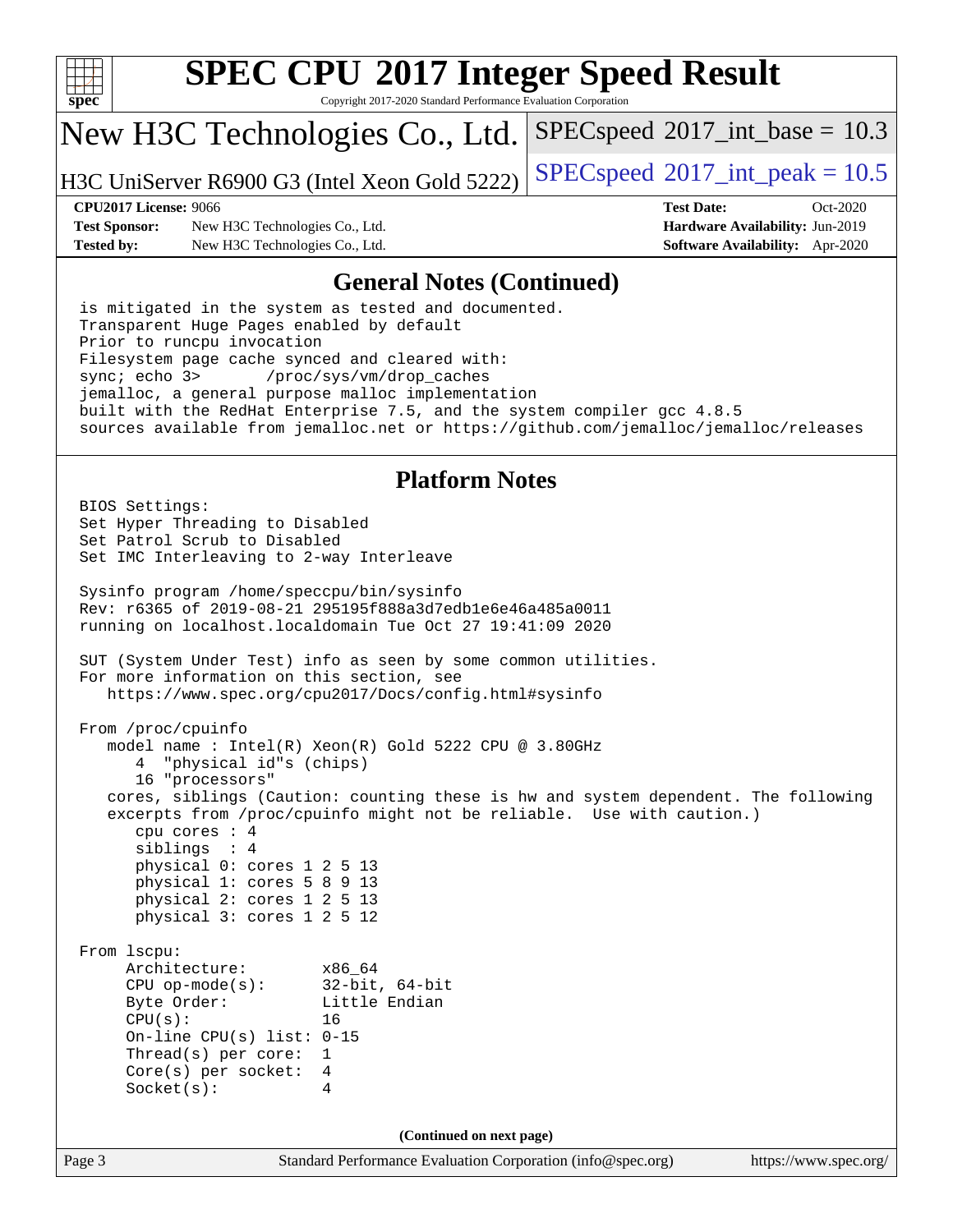

Copyright 2017-2020 Standard Performance Evaluation Corporation

## New H3C Technologies Co., Ltd.

H3C UniServer R6900 G3 (Intel Xeon Gold 5222) [SPECspeed](http://www.spec.org/auto/cpu2017/Docs/result-fields.html#SPECspeed2017intpeak)<sup>®</sup>[2017\\_int\\_peak = 1](http://www.spec.org/auto/cpu2017/Docs/result-fields.html#SPECspeed2017intpeak)0.5

 $SPECspeed^{\circ}2017\_int\_base = 10.3$  $SPECspeed^{\circ}2017\_int\_base = 10.3$ 

**[Test Sponsor:](http://www.spec.org/auto/cpu2017/Docs/result-fields.html#TestSponsor)** New H3C Technologies Co., Ltd. **[Hardware Availability:](http://www.spec.org/auto/cpu2017/Docs/result-fields.html#HardwareAvailability)** Jun-2019 **[Tested by:](http://www.spec.org/auto/cpu2017/Docs/result-fields.html#Testedby)** New H3C Technologies Co., Ltd. **[Software Availability:](http://www.spec.org/auto/cpu2017/Docs/result-fields.html#SoftwareAvailability)** Apr-2020

**[CPU2017 License:](http://www.spec.org/auto/cpu2017/Docs/result-fields.html#CPU2017License)** 9066 **[Test Date:](http://www.spec.org/auto/cpu2017/Docs/result-fields.html#TestDate)** Oct-2020

### **[General Notes \(Continued\)](http://www.spec.org/auto/cpu2017/Docs/result-fields.html#GeneralNotes)**

 is mitigated in the system as tested and documented. Transparent Huge Pages enabled by default Prior to runcpu invocation Filesystem page cache synced and cleared with: sync; echo 3> /proc/sys/vm/drop\_caches jemalloc, a general purpose malloc implementation built with the RedHat Enterprise 7.5, and the system compiler gcc 4.8.5 sources available from jemalloc.net or <https://github.com/jemalloc/jemalloc/releases>

### **[Platform Notes](http://www.spec.org/auto/cpu2017/Docs/result-fields.html#PlatformNotes)**

Page 3 Standard Performance Evaluation Corporation [\(info@spec.org\)](mailto:info@spec.org) <https://www.spec.org/> BIOS Settings: Set Hyper Threading to Disabled Set Patrol Scrub to Disabled Set IMC Interleaving to 2-way Interleave Sysinfo program /home/speccpu/bin/sysinfo Rev: r6365 of 2019-08-21 295195f888a3d7edb1e6e46a485a0011 running on localhost.localdomain Tue Oct 27 19:41:09 2020 SUT (System Under Test) info as seen by some common utilities. For more information on this section, see <https://www.spec.org/cpu2017/Docs/config.html#sysinfo> From /proc/cpuinfo model name : Intel(R) Xeon(R) Gold 5222 CPU @ 3.80GHz 4 "physical id"s (chips) 16 "processors" cores, siblings (Caution: counting these is hw and system dependent. The following excerpts from /proc/cpuinfo might not be reliable. Use with caution.) cpu cores : 4 siblings : 4 physical 0: cores 1 2 5 13 physical 1: cores 5 8 9 13 physical 2: cores 1 2 5 13 physical 3: cores 1 2 5 12 From lscpu: Architecture: x86\_64 CPU op-mode(s): 32-bit, 64-bit Byte Order: Little Endian CPU(s): 16 On-line CPU(s) list: 0-15 Thread(s) per core: 1 Core(s) per socket: 4 Socket(s): 4 **(Continued on next page)**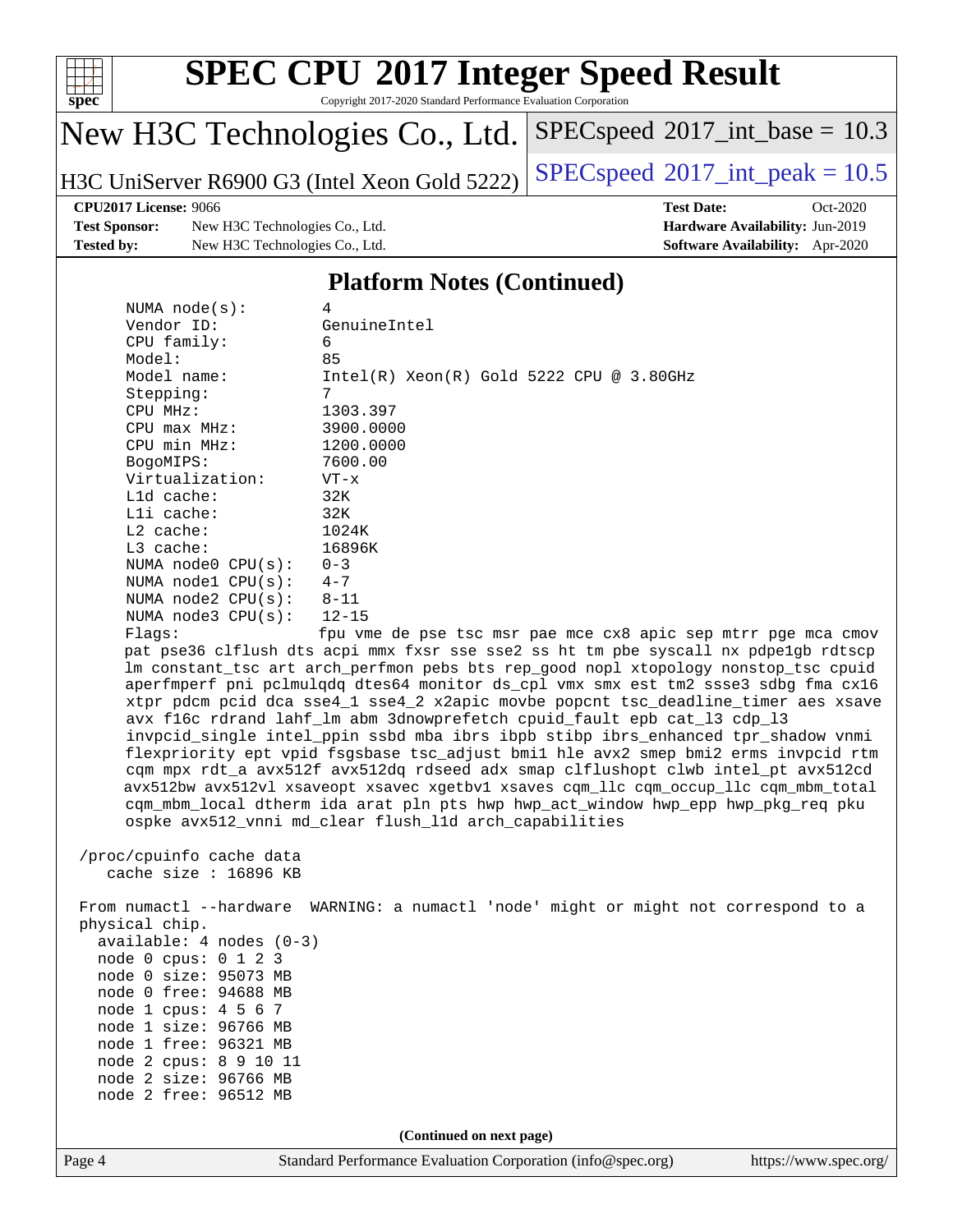

Copyright 2017-2020 Standard Performance Evaluation Corporation

## New H3C Technologies Co., Ltd.

H3C UniServer R6900 G3 (Intel Xeon Gold 5222) [SPECspeed](http://www.spec.org/auto/cpu2017/Docs/result-fields.html#SPECspeed2017intpeak)®2017\_int\_peak =  $10.5$ 

 $SPECspeed^{\circ}2017\_int\_base = 10.3$  $SPECspeed^{\circ}2017\_int\_base = 10.3$ 

**[Test Sponsor:](http://www.spec.org/auto/cpu2017/Docs/result-fields.html#TestSponsor)** New H3C Technologies Co., Ltd. **[Hardware Availability:](http://www.spec.org/auto/cpu2017/Docs/result-fields.html#HardwareAvailability)** Jun-2019 **[Tested by:](http://www.spec.org/auto/cpu2017/Docs/result-fields.html#Testedby)** New H3C Technologies Co., Ltd. **[Software Availability:](http://www.spec.org/auto/cpu2017/Docs/result-fields.html#SoftwareAvailability)** Apr-2020

**[CPU2017 License:](http://www.spec.org/auto/cpu2017/Docs/result-fields.html#CPU2017License)** 9066 **[Test Date:](http://www.spec.org/auto/cpu2017/Docs/result-fields.html#TestDate)** Oct-2020

### **[Platform Notes \(Continued\)](http://www.spec.org/auto/cpu2017/Docs/result-fields.html#PlatformNotes)**

| NUMA $node(s):$         | 4                                                                                                              |
|-------------------------|----------------------------------------------------------------------------------------------------------------|
| Vendor ID:              | GenuineIntel                                                                                                   |
| $CPU$ family:           | 6                                                                                                              |
| Model:                  | 85                                                                                                             |
| Model name:             | $Intel(R)$ Xeon $(R)$ Gold 5222 CPU @ 3.80GHz                                                                  |
| Stepping:               | 7                                                                                                              |
| CPU MHz:                | 1303.397                                                                                                       |
| $CPU$ max $MHz$ :       | 3900.0000                                                                                                      |
| $CPU$ min $MHz$ :       | 1200.0000                                                                                                      |
| BogoMIPS:               | 7600.00                                                                                                        |
| Virtualization:         | $VT - x$                                                                                                       |
| $L1d$ cache:            | 32K                                                                                                            |
| Lli cache:              | 32K                                                                                                            |
| L2 cache:               | 1024K                                                                                                          |
| $L3$ cache:             | 16896K                                                                                                         |
| NUMA $node0$ $CPU(s):$  | $0 - 3$                                                                                                        |
| NUMA $node1$ $CPU(s)$ : | $4 - 7$                                                                                                        |
| NUMA $node2$ $CPU(s):$  | $8 - 11$                                                                                                       |
| NUMA $node3$ $CPU(s)$ : | 12-15                                                                                                          |
| Flaqs:                  | fpu vme de pse tsc msr pae mce cx8 apic sep mtrr pge mca cmov                                                  |
|                         | pat pse36 clflush dts acpi mmx fxsr sse sse2 ss ht tm pbe syscall nx pdpe1qb rdtscp                            |
|                         | din sila akal ka sa salah sa Marangala sa taun dan salah sa dan salah salah sa salah sa salah sa salah sa sala |

nx pdpe1gb rdtscp lm constant\_tsc art arch\_perfmon pebs bts rep\_good nopl xtopology nonstop\_tsc cpuid aperfmperf pni pclmulqdq dtes64 monitor ds\_cpl vmx smx est tm2 ssse3 sdbg fma cx16 xtpr pdcm pcid dca sse4\_1 sse4\_2 x2apic movbe popcnt tsc\_deadline\_timer aes xsave avx f16c rdrand lahf\_lm abm 3dnowprefetch cpuid\_fault epb cat\_l3 cdp\_l3 invpcid\_single intel\_ppin ssbd mba ibrs ibpb stibp ibrs\_enhanced tpr\_shadow vnmi flexpriority ept vpid fsgsbase tsc\_adjust bmi1 hle avx2 smep bmi2 erms invpcid rtm cqm mpx rdt\_a avx512f avx512dq rdseed adx smap clflushopt clwb intel\_pt avx512cd avx512bw avx512vl xsaveopt xsavec xgetbv1 xsaves cqm\_llc cqm\_occup\_llc cqm\_mbm\_total cqm\_mbm\_local dtherm ida arat pln pts hwp hwp\_act\_window hwp\_epp hwp\_pkg\_req pku ospke avx512\_vnni md\_clear flush\_l1d arch\_capabilities

 /proc/cpuinfo cache data cache size : 16896 KB

 From numactl --hardware WARNING: a numactl 'node' might or might not correspond to a physical chip. available: 4 nodes (0-3) node 0 cpus: 0 1 2 3 node 0 size: 95073 MB node 0 free: 94688 MB node 1 cpus: 4 5 6 7 node 1 size: 96766 MB node 1 free: 96321 MB node 2 cpus: 8 9 10 11 node 2 size: 96766 MB node 2 free: 96512 MB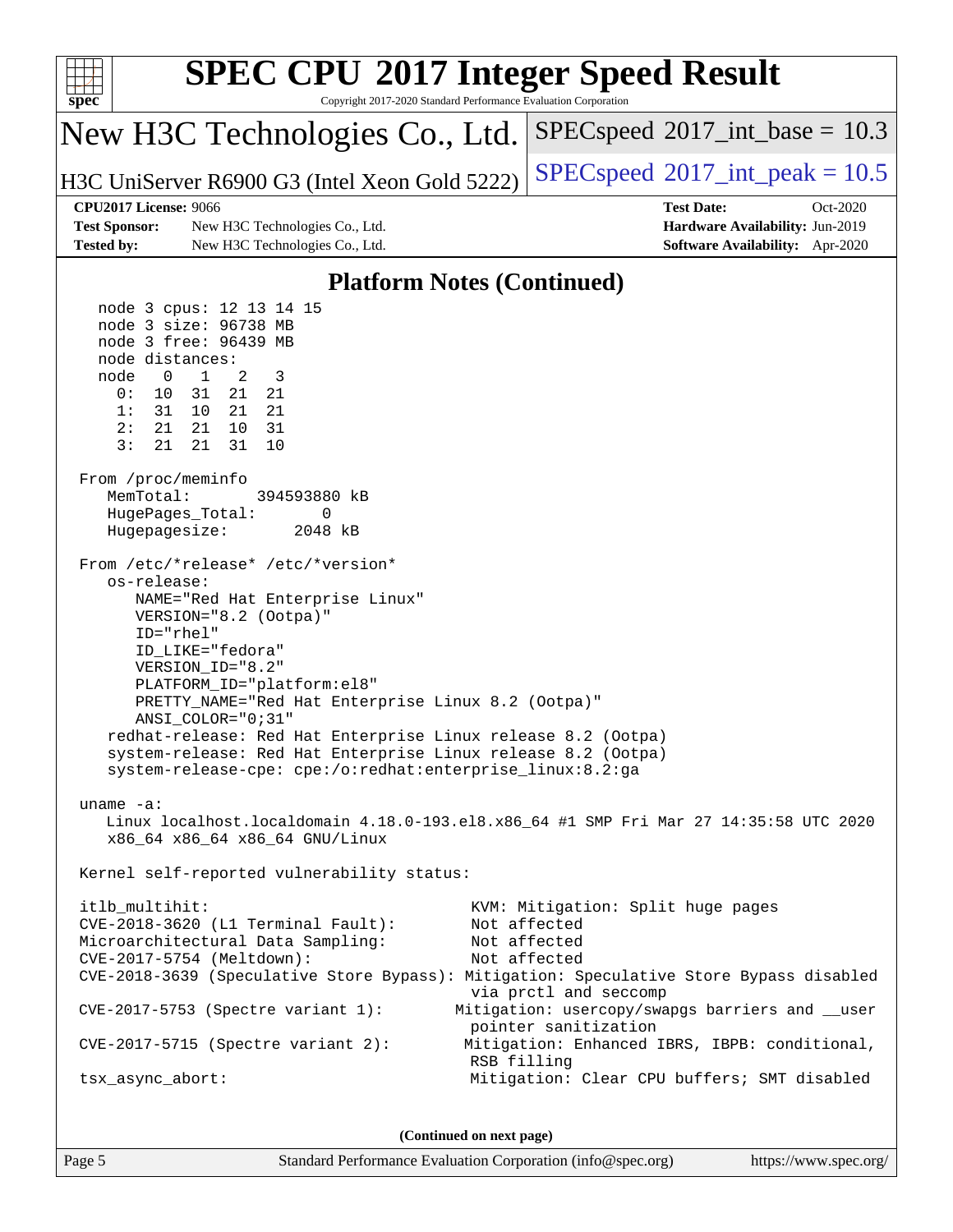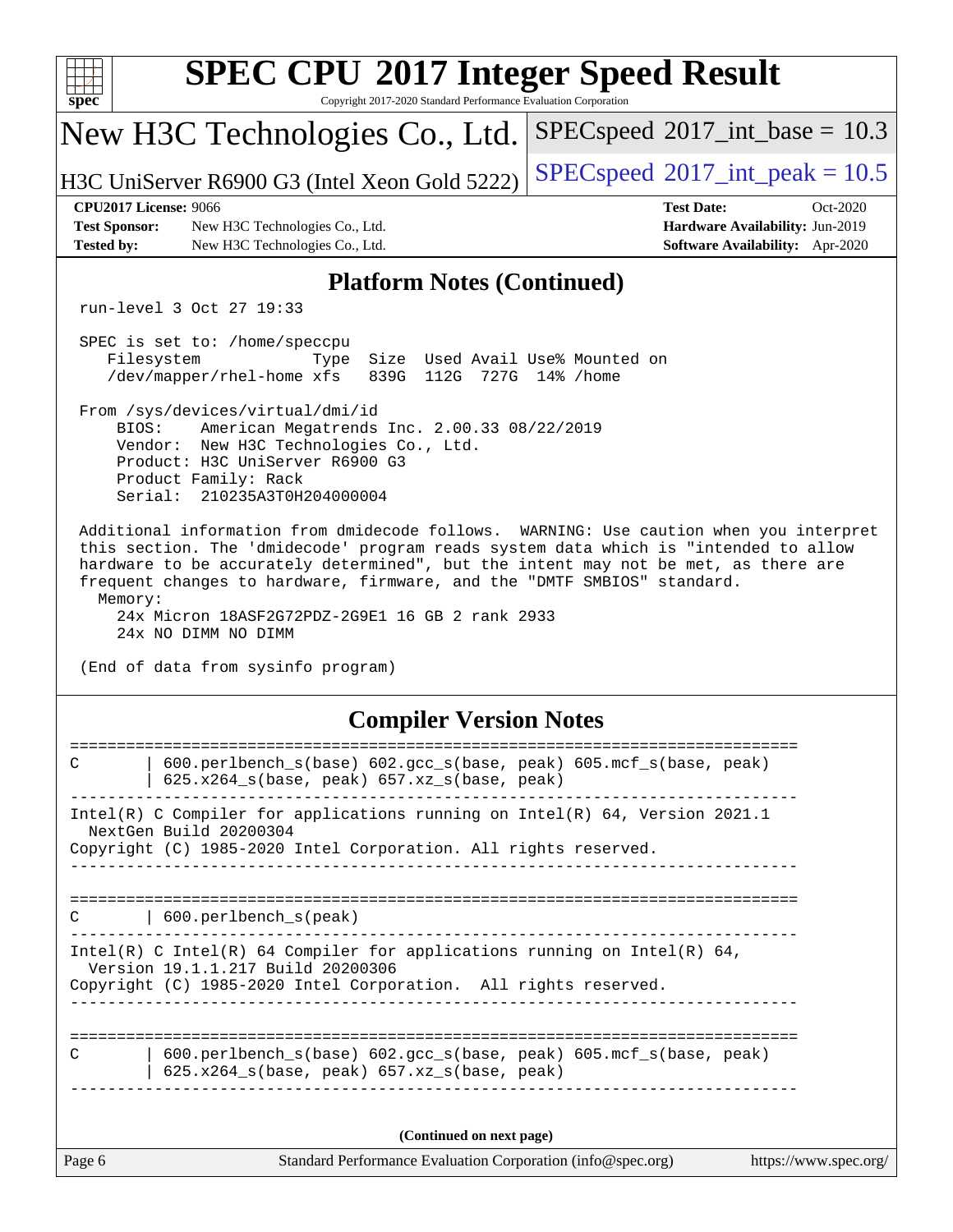| $spec^*$                                                                                                                                                                                                                                                                                                                                                                                                                            | <b>SPEC CPU®2017 Integer Speed Result</b><br>Copyright 2017-2020 Standard Performance Evaluation Corporation     |                                                                                                            |  |  |  |  |  |
|-------------------------------------------------------------------------------------------------------------------------------------------------------------------------------------------------------------------------------------------------------------------------------------------------------------------------------------------------------------------------------------------------------------------------------------|------------------------------------------------------------------------------------------------------------------|------------------------------------------------------------------------------------------------------------|--|--|--|--|--|
|                                                                                                                                                                                                                                                                                                                                                                                                                                     | New H3C Technologies Co., Ltd.                                                                                   | $SPEC speed^{\circ}2017\_int\_base = 10.3$                                                                 |  |  |  |  |  |
|                                                                                                                                                                                                                                                                                                                                                                                                                                     | H3C UniServer R6900 G3 (Intel Xeon Gold 5222)                                                                    | $SPEC speed^{\circ}2017\_int\_peak = 10.5$                                                                 |  |  |  |  |  |
| <b>CPU2017 License: 9066</b><br><b>Test Sponsor:</b><br><b>Tested by:</b>                                                                                                                                                                                                                                                                                                                                                           | New H3C Technologies Co., Ltd.<br>New H3C Technologies Co., Ltd.                                                 | <b>Test Date:</b><br>Oct-2020<br>Hardware Availability: Jun-2019<br><b>Software Availability:</b> Apr-2020 |  |  |  |  |  |
| <b>Platform Notes (Continued)</b>                                                                                                                                                                                                                                                                                                                                                                                                   |                                                                                                                  |                                                                                                            |  |  |  |  |  |
| run-level 3 Oct 27 19:33                                                                                                                                                                                                                                                                                                                                                                                                            |                                                                                                                  |                                                                                                            |  |  |  |  |  |
| SPEC is set to: /home/speccpu<br>Filesystem<br>Size Used Avail Use% Mounted on<br>Type<br>839G 112G 727G 14% / home<br>/dev/mapper/rhel-home xfs                                                                                                                                                                                                                                                                                    |                                                                                                                  |                                                                                                            |  |  |  |  |  |
| From /sys/devices/virtual/dmi/id<br>BIOS:<br>American Megatrends Inc. 2.00.33 08/22/2019<br>Vendor: New H3C Technologies Co., Ltd.<br>Product: H3C UniServer R6900 G3<br>Product Family: Rack<br>Serial: 210235A3T0H204000004                                                                                                                                                                                                       |                                                                                                                  |                                                                                                            |  |  |  |  |  |
| Additional information from dmidecode follows. WARNING: Use caution when you interpret<br>this section. The 'dmidecode' program reads system data which is "intended to allow<br>hardware to be accurately determined", but the intent may not be met, as there are<br>frequent changes to hardware, firmware, and the "DMTF SMBIOS" standard.<br>Memory:<br>24x Micron 18ASF2G72PDZ-2G9E1 16 GB 2 rank 2933<br>24x NO DIMM NO DIMM |                                                                                                                  |                                                                                                            |  |  |  |  |  |
| (End of data from sysinfo program)<br><b>Compiler Version Notes</b>                                                                                                                                                                                                                                                                                                                                                                 |                                                                                                                  |                                                                                                            |  |  |  |  |  |
|                                                                                                                                                                                                                                                                                                                                                                                                                                     |                                                                                                                  |                                                                                                            |  |  |  |  |  |
| $\mathsf{C}$                                                                                                                                                                                                                                                                                                                                                                                                                        | 600.perlbench_s(base) 602.gcc_s(base, peak) 605.mcf_s(base, peak)<br>625.x264_s(base, peak) 657.xz_s(base, peak) |                                                                                                            |  |  |  |  |  |
| Intel(R) C Compiler for applications running on Intel(R) 64, Version 2021.1<br>NextGen Build 20200304<br>Copyright (C) 1985-2020 Intel Corporation. All rights reserved.                                                                                                                                                                                                                                                            |                                                                                                                  |                                                                                                            |  |  |  |  |  |
|                                                                                                                                                                                                                                                                                                                                                                                                                                     |                                                                                                                  |                                                                                                            |  |  |  |  |  |
| C                                                                                                                                                                                                                                                                                                                                                                                                                                   | 600.perlbench_s(peak)                                                                                            |                                                                                                            |  |  |  |  |  |
| Intel(R) C Intel(R) 64 Compiler for applications running on Intel(R) 64,<br>Version 19.1.1.217 Build 20200306<br>Copyright (C) 1985-2020 Intel Corporation. All rights reserved.                                                                                                                                                                                                                                                    |                                                                                                                  |                                                                                                            |  |  |  |  |  |
| 600.perlbench_s(base) 602.gcc_s(base, peak) 605.mcf_s(base, peak)<br>C<br>$625.x264_s(base, peak)$ $657.xz_s(base, peak)$                                                                                                                                                                                                                                                                                                           |                                                                                                                  |                                                                                                            |  |  |  |  |  |
| (Continued on next page)                                                                                                                                                                                                                                                                                                                                                                                                            |                                                                                                                  |                                                                                                            |  |  |  |  |  |
| Page 6                                                                                                                                                                                                                                                                                                                                                                                                                              | Standard Performance Evaluation Corporation (info@spec.org)                                                      | https://www.spec.org/                                                                                      |  |  |  |  |  |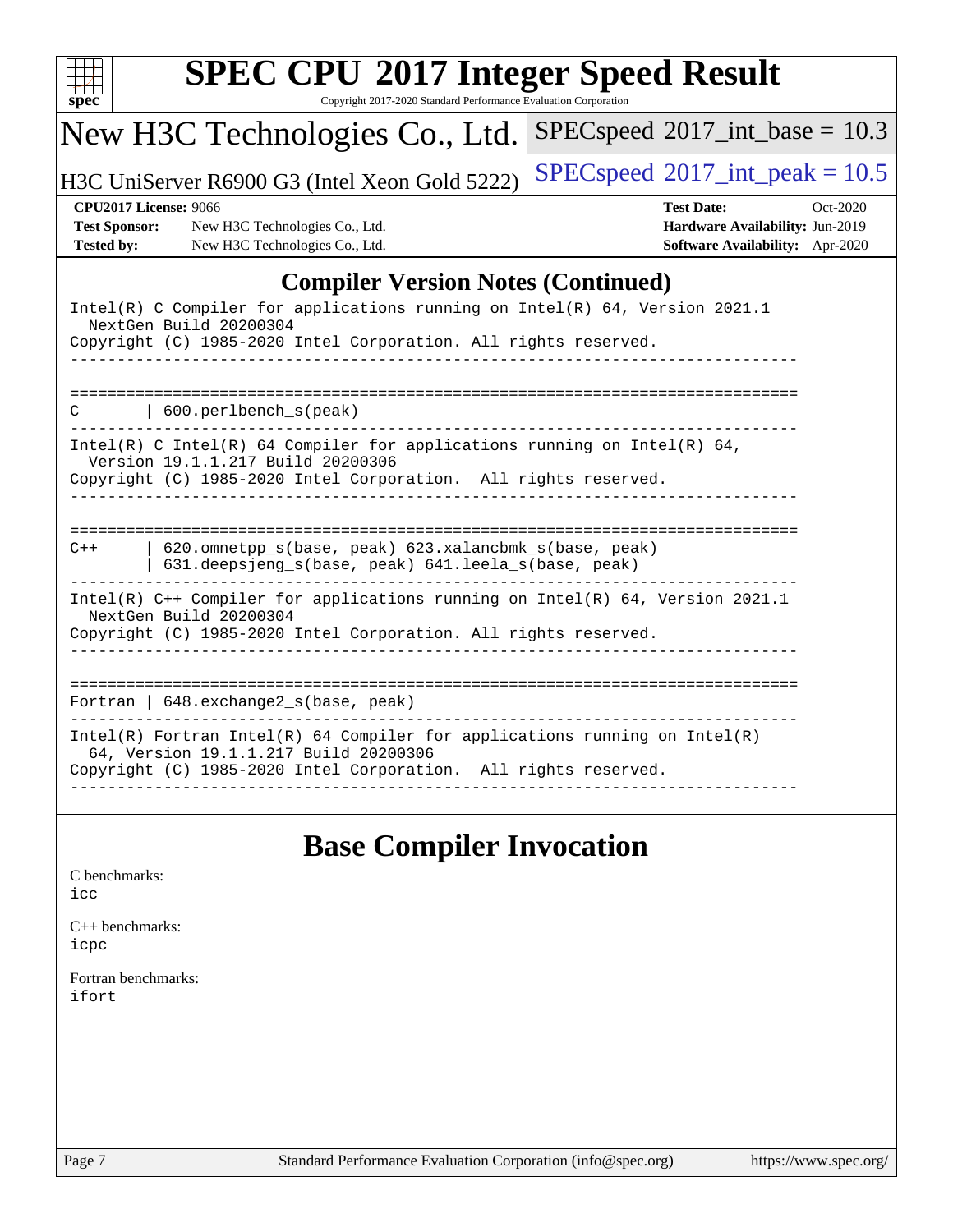| <b>SPEC CPU®2017 Integer Speed Result</b><br>Copyright 2017-2020 Standard Performance Evaluation Corporation<br>$spec^*$                                                                          |                                                                                                            |  |  |  |  |
|---------------------------------------------------------------------------------------------------------------------------------------------------------------------------------------------------|------------------------------------------------------------------------------------------------------------|--|--|--|--|
| New H3C Technologies Co., Ltd.                                                                                                                                                                    | $SPEC speed^{\circ}2017\_int\_base = 10.3$                                                                 |  |  |  |  |
| H3C UniServer R6900 G3 (Intel Xeon Gold 5222)                                                                                                                                                     | $SPEC speed$ <sup>®</sup> 2017_int_peak = 10.5                                                             |  |  |  |  |
| <b>CPU2017 License: 9066</b><br><b>Test Sponsor:</b><br>New H3C Technologies Co., Ltd.<br>New H3C Technologies Co., Ltd.<br><b>Tested by:</b>                                                     | <b>Test Date:</b><br>Oct-2020<br>Hardware Availability: Jun-2019<br><b>Software Availability:</b> Apr-2020 |  |  |  |  |
| <b>Compiler Version Notes (Continued)</b>                                                                                                                                                         |                                                                                                            |  |  |  |  |
| Intel(R) C Compiler for applications running on Intel(R) 64, Version 2021.1<br>NextGen Build 20200304<br>Copyright (C) 1985-2020 Intel Corporation. All rights reserved.                          |                                                                                                            |  |  |  |  |
| $\vert$ 600. perlbench s(peak)<br>C                                                                                                                                                               | -----------------------------------                                                                        |  |  |  |  |
| Intel(R) C Intel(R) 64 Compiler for applications running on Intel(R) 64,<br>Version 19.1.1.217 Build 20200306<br>Copyright (C) 1985-2020 Intel Corporation. All rights reserved.<br>------------- |                                                                                                            |  |  |  |  |
| 620.omnetpp_s(base, peak) 623.xalancbmk_s(base, peak)<br>$C++$<br>631.deepsjeng_s(base, peak) 641.leela_s(base, peak)                                                                             |                                                                                                            |  |  |  |  |
| Intel(R) C++ Compiler for applications running on Intel(R) 64, Version 2021.1<br>NextGen Build 20200304<br>Copyright (C) 1985-2020 Intel Corporation. All rights reserved.                        |                                                                                                            |  |  |  |  |
| Fortran   $648$ . exchange2 $s$ (base, peak)                                                                                                                                                      |                                                                                                            |  |  |  |  |
| $Intel(R)$ Fortran Intel(R) 64 Compiler for applications running on Intel(R)<br>64, Version 19.1.1.217 Build 20200306<br>Copyright (C) 1985-2020 Intel Corporation. All rights reserved.          |                                                                                                            |  |  |  |  |
|                                                                                                                                                                                                   |                                                                                                            |  |  |  |  |

## **[Base Compiler Invocation](http://www.spec.org/auto/cpu2017/Docs/result-fields.html#BaseCompilerInvocation)**

| C benchmarks: |
|---------------|
| icc           |

[C++ benchmarks:](http://www.spec.org/auto/cpu2017/Docs/result-fields.html#CXXbenchmarks) [icpc](http://www.spec.org/cpu2017/results/res2020q4/cpu2017-20201028-24332.flags.html#user_CXXbase_intel_icpc_c510b6838c7f56d33e37e94d029a35b4a7bccf4766a728ee175e80a419847e808290a9b78be685c44ab727ea267ec2f070ec5dc83b407c0218cded6866a35d07)

[Fortran benchmarks](http://www.spec.org/auto/cpu2017/Docs/result-fields.html#Fortranbenchmarks): [ifort](http://www.spec.org/cpu2017/results/res2020q4/cpu2017-20201028-24332.flags.html#user_FCbase_intel_ifort_8111460550e3ca792625aed983ce982f94888b8b503583aa7ba2b8303487b4d8a21a13e7191a45c5fd58ff318f48f9492884d4413fa793fd88dd292cad7027ca)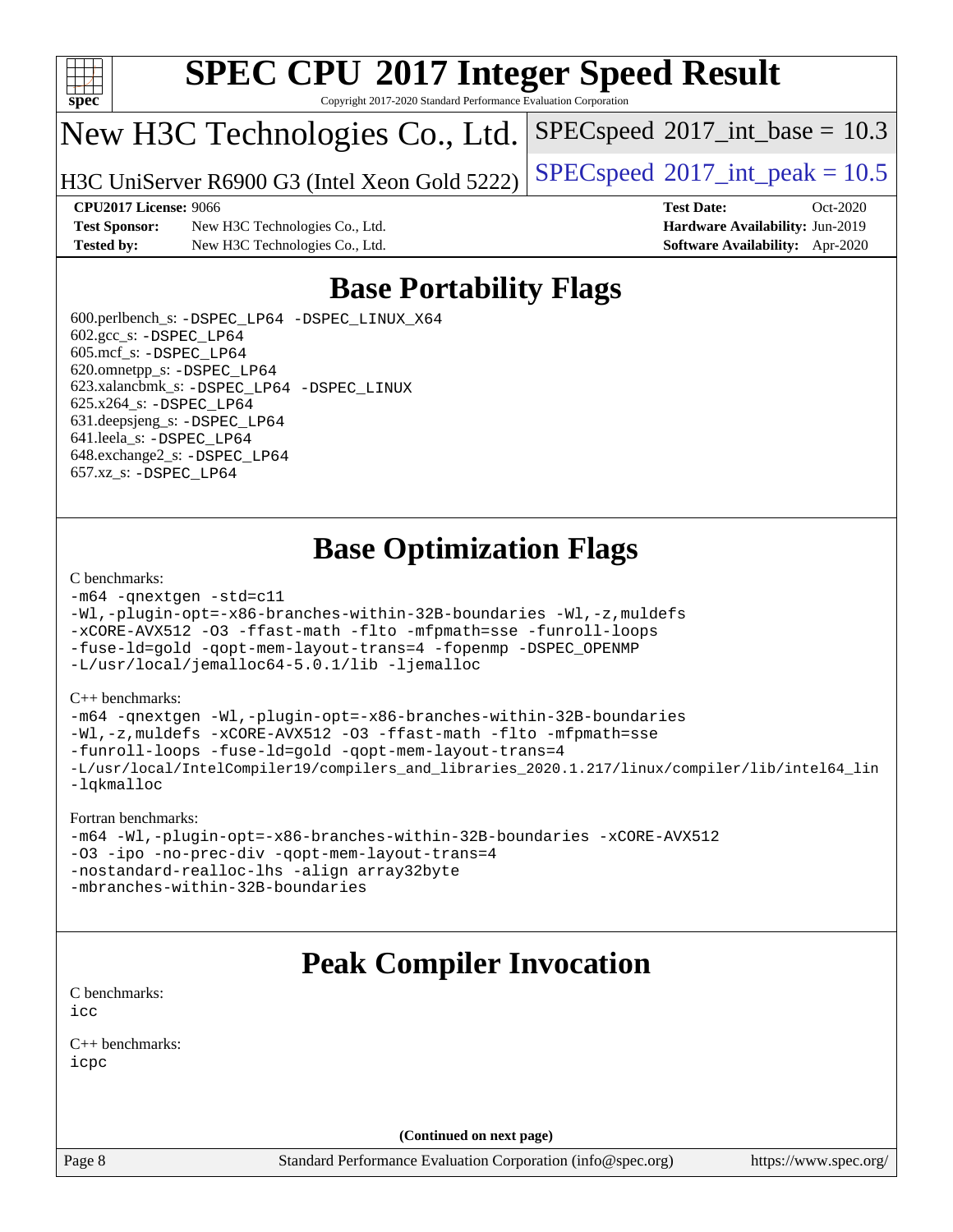

Copyright 2017-2020 Standard Performance Evaluation Corporation

## New H3C Technologies Co., Ltd.

H3C UniServer R6900 G3 (Intel Xeon Gold 5222) [SPECspeed](http://www.spec.org/auto/cpu2017/Docs/result-fields.html#SPECspeed2017intpeak)®2017\_int\_peak =  $10.5$ 

 $SPECspeed^{\circ}2017\_int\_base = 10.3$  $SPECspeed^{\circ}2017\_int\_base = 10.3$ 

**[Test Sponsor:](http://www.spec.org/auto/cpu2017/Docs/result-fields.html#TestSponsor)** New H3C Technologies Co., Ltd. **[Hardware Availability:](http://www.spec.org/auto/cpu2017/Docs/result-fields.html#HardwareAvailability)** Jun-2019 **[Tested by:](http://www.spec.org/auto/cpu2017/Docs/result-fields.html#Testedby)** New H3C Technologies Co., Ltd. **[Software Availability:](http://www.spec.org/auto/cpu2017/Docs/result-fields.html#SoftwareAvailability)** Apr-2020

**[CPU2017 License:](http://www.spec.org/auto/cpu2017/Docs/result-fields.html#CPU2017License)** 9066 **[Test Date:](http://www.spec.org/auto/cpu2017/Docs/result-fields.html#TestDate)** Oct-2020

## **[Base Portability Flags](http://www.spec.org/auto/cpu2017/Docs/result-fields.html#BasePortabilityFlags)**

 600.perlbench\_s: [-DSPEC\\_LP64](http://www.spec.org/cpu2017/results/res2020q4/cpu2017-20201028-24332.flags.html#b600.perlbench_s_basePORTABILITY_DSPEC_LP64) [-DSPEC\\_LINUX\\_X64](http://www.spec.org/cpu2017/results/res2020q4/cpu2017-20201028-24332.flags.html#b600.perlbench_s_baseCPORTABILITY_DSPEC_LINUX_X64) 602.gcc\_s: [-DSPEC\\_LP64](http://www.spec.org/cpu2017/results/res2020q4/cpu2017-20201028-24332.flags.html#suite_basePORTABILITY602_gcc_s_DSPEC_LP64) 605.mcf\_s: [-DSPEC\\_LP64](http://www.spec.org/cpu2017/results/res2020q4/cpu2017-20201028-24332.flags.html#suite_basePORTABILITY605_mcf_s_DSPEC_LP64) 620.omnetpp\_s: [-DSPEC\\_LP64](http://www.spec.org/cpu2017/results/res2020q4/cpu2017-20201028-24332.flags.html#suite_basePORTABILITY620_omnetpp_s_DSPEC_LP64) 623.xalancbmk\_s: [-DSPEC\\_LP64](http://www.spec.org/cpu2017/results/res2020q4/cpu2017-20201028-24332.flags.html#suite_basePORTABILITY623_xalancbmk_s_DSPEC_LP64) [-DSPEC\\_LINUX](http://www.spec.org/cpu2017/results/res2020q4/cpu2017-20201028-24332.flags.html#b623.xalancbmk_s_baseCXXPORTABILITY_DSPEC_LINUX) 625.x264\_s: [-DSPEC\\_LP64](http://www.spec.org/cpu2017/results/res2020q4/cpu2017-20201028-24332.flags.html#suite_basePORTABILITY625_x264_s_DSPEC_LP64) 631.deepsjeng\_s: [-DSPEC\\_LP64](http://www.spec.org/cpu2017/results/res2020q4/cpu2017-20201028-24332.flags.html#suite_basePORTABILITY631_deepsjeng_s_DSPEC_LP64) 641.leela\_s: [-DSPEC\\_LP64](http://www.spec.org/cpu2017/results/res2020q4/cpu2017-20201028-24332.flags.html#suite_basePORTABILITY641_leela_s_DSPEC_LP64) 648.exchange2\_s: [-DSPEC\\_LP64](http://www.spec.org/cpu2017/results/res2020q4/cpu2017-20201028-24332.flags.html#suite_basePORTABILITY648_exchange2_s_DSPEC_LP64) 657.xz\_s: [-DSPEC\\_LP64](http://www.spec.org/cpu2017/results/res2020q4/cpu2017-20201028-24332.flags.html#suite_basePORTABILITY657_xz_s_DSPEC_LP64)

## **[Base Optimization Flags](http://www.spec.org/auto/cpu2017/Docs/result-fields.html#BaseOptimizationFlags)**

### [C benchmarks](http://www.spec.org/auto/cpu2017/Docs/result-fields.html#Cbenchmarks):

```
-m64 -qnextgen -std=c11
-Wl,-plugin-opt=-x86-branches-within-32B-boundaries -Wl,-z,muldefs
-xCORE-AVX512 -O3 -ffast-math -flto -mfpmath=sse -funroll-loops
-fuse-ld=gold -qopt-mem-layout-trans=4 -fopenmp -DSPEC_OPENMP
-L/usr/local/jemalloc64-5.0.1/lib -ljemalloc
```
### [C++ benchmarks:](http://www.spec.org/auto/cpu2017/Docs/result-fields.html#CXXbenchmarks)

```
-m64 -qnextgen -Wl,-plugin-opt=-x86-branches-within-32B-boundaries
-Wl,-z,muldefs -xCORE-AVX512 -O3 -ffast-math -flto -mfpmath=sse
-funroll-loops -fuse-ld=gold -qopt-mem-layout-trans=4
-L/usr/local/IntelCompiler19/compilers_and_libraries_2020.1.217/linux/compiler/lib/intel64_lin
-lqkmalloc
```
### [Fortran benchmarks:](http://www.spec.org/auto/cpu2017/Docs/result-fields.html#Fortranbenchmarks)

```
-m64 -Wl,-plugin-opt=-x86-branches-within-32B-boundaries -xCORE-AVX512
-O3 -ipo -no-prec-div -qopt-mem-layout-trans=4
-nostandard-realloc-lhs -align array32byte
-mbranches-within-32B-boundaries
```
## **[Peak Compiler Invocation](http://www.spec.org/auto/cpu2017/Docs/result-fields.html#PeakCompilerInvocation)**

[C benchmarks](http://www.spec.org/auto/cpu2017/Docs/result-fields.html#Cbenchmarks): [icc](http://www.spec.org/cpu2017/results/res2020q4/cpu2017-20201028-24332.flags.html#user_CCpeak_intel_icc_66fc1ee009f7361af1fbd72ca7dcefbb700085f36577c54f309893dd4ec40d12360134090235512931783d35fd58c0460139e722d5067c5574d8eaf2b3e37e92)

[C++ benchmarks:](http://www.spec.org/auto/cpu2017/Docs/result-fields.html#CXXbenchmarks) [icpc](http://www.spec.org/cpu2017/results/res2020q4/cpu2017-20201028-24332.flags.html#user_CXXpeak_intel_icpc_c510b6838c7f56d33e37e94d029a35b4a7bccf4766a728ee175e80a419847e808290a9b78be685c44ab727ea267ec2f070ec5dc83b407c0218cded6866a35d07)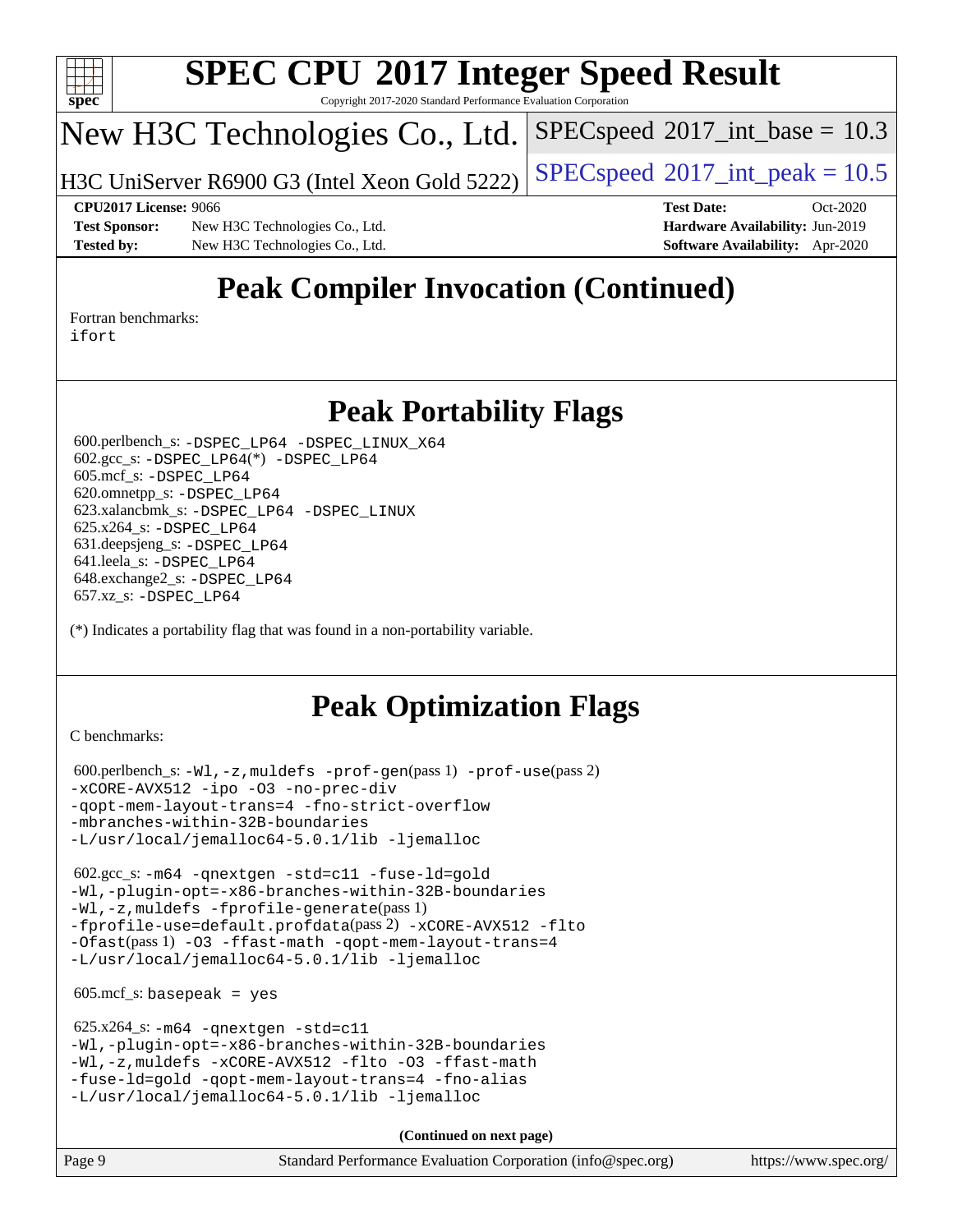

Copyright 2017-2020 Standard Performance Evaluation Corporation

## New H3C Technologies Co., Ltd.

H3C UniServer R6900 G3 (Intel Xeon Gold 5222) [SPECspeed](http://www.spec.org/auto/cpu2017/Docs/result-fields.html#SPECspeed2017intpeak)®2017\_int\_peak =  $10.5$ 

 $SPECspeed^{\circledcirc}2017\_int\_base = 10.3$  $SPECspeed^{\circledcirc}2017\_int\_base = 10.3$ 

**[Test Sponsor:](http://www.spec.org/auto/cpu2017/Docs/result-fields.html#TestSponsor)** New H3C Technologies Co., Ltd. **[Hardware Availability:](http://www.spec.org/auto/cpu2017/Docs/result-fields.html#HardwareAvailability)** Jun-2019 **[Tested by:](http://www.spec.org/auto/cpu2017/Docs/result-fields.html#Testedby)** New H3C Technologies Co., Ltd. **[Software Availability:](http://www.spec.org/auto/cpu2017/Docs/result-fields.html#SoftwareAvailability)** Apr-2020

**[CPU2017 License:](http://www.spec.org/auto/cpu2017/Docs/result-fields.html#CPU2017License)** 9066 **[Test Date:](http://www.spec.org/auto/cpu2017/Docs/result-fields.html#TestDate)** Oct-2020

## **[Peak Compiler Invocation \(Continued\)](http://www.spec.org/auto/cpu2017/Docs/result-fields.html#PeakCompilerInvocation)**

[Fortran benchmarks](http://www.spec.org/auto/cpu2017/Docs/result-fields.html#Fortranbenchmarks): [ifort](http://www.spec.org/cpu2017/results/res2020q4/cpu2017-20201028-24332.flags.html#user_FCpeak_intel_ifort_8111460550e3ca792625aed983ce982f94888b8b503583aa7ba2b8303487b4d8a21a13e7191a45c5fd58ff318f48f9492884d4413fa793fd88dd292cad7027ca)

## **[Peak Portability Flags](http://www.spec.org/auto/cpu2017/Docs/result-fields.html#PeakPortabilityFlags)**

 600.perlbench\_s: [-DSPEC\\_LP64](http://www.spec.org/cpu2017/results/res2020q4/cpu2017-20201028-24332.flags.html#b600.perlbench_s_peakPORTABILITY_DSPEC_LP64) [-DSPEC\\_LINUX\\_X64](http://www.spec.org/cpu2017/results/res2020q4/cpu2017-20201028-24332.flags.html#b600.perlbench_s_peakCPORTABILITY_DSPEC_LINUX_X64) 602.gcc\_s: [-DSPEC\\_LP64](http://www.spec.org/cpu2017/results/res2020q4/cpu2017-20201028-24332.flags.html#suite_peakCCLD602_gcc_s_DSPEC_LP64)(\*) [-DSPEC\\_LP64](http://www.spec.org/cpu2017/results/res2020q4/cpu2017-20201028-24332.flags.html#suite_peakPORTABILITY602_gcc_s_DSPEC_LP64) 605.mcf\_s: [-DSPEC\\_LP64](http://www.spec.org/cpu2017/results/res2020q4/cpu2017-20201028-24332.flags.html#suite_peakPORTABILITY605_mcf_s_DSPEC_LP64) 620.omnetpp\_s: [-DSPEC\\_LP64](http://www.spec.org/cpu2017/results/res2020q4/cpu2017-20201028-24332.flags.html#suite_peakPORTABILITY620_omnetpp_s_DSPEC_LP64) 623.xalancbmk\_s: [-DSPEC\\_LP64](http://www.spec.org/cpu2017/results/res2020q4/cpu2017-20201028-24332.flags.html#suite_peakPORTABILITY623_xalancbmk_s_DSPEC_LP64) [-DSPEC\\_LINUX](http://www.spec.org/cpu2017/results/res2020q4/cpu2017-20201028-24332.flags.html#b623.xalancbmk_s_peakCXXPORTABILITY_DSPEC_LINUX) 625.x264\_s: [-DSPEC\\_LP64](http://www.spec.org/cpu2017/results/res2020q4/cpu2017-20201028-24332.flags.html#suite_peakPORTABILITY625_x264_s_DSPEC_LP64) 631.deepsjeng\_s: [-DSPEC\\_LP64](http://www.spec.org/cpu2017/results/res2020q4/cpu2017-20201028-24332.flags.html#suite_peakPORTABILITY631_deepsjeng_s_DSPEC_LP64) 641.leela\_s: [-DSPEC\\_LP64](http://www.spec.org/cpu2017/results/res2020q4/cpu2017-20201028-24332.flags.html#suite_peakPORTABILITY641_leela_s_DSPEC_LP64) 648.exchange2\_s: [-DSPEC\\_LP64](http://www.spec.org/cpu2017/results/res2020q4/cpu2017-20201028-24332.flags.html#suite_peakPORTABILITY648_exchange2_s_DSPEC_LP64) 657.xz\_s: [-DSPEC\\_LP64](http://www.spec.org/cpu2017/results/res2020q4/cpu2017-20201028-24332.flags.html#suite_peakPORTABILITY657_xz_s_DSPEC_LP64)

(\*) Indicates a portability flag that was found in a non-portability variable.

## **[Peak Optimization Flags](http://www.spec.org/auto/cpu2017/Docs/result-fields.html#PeakOptimizationFlags)**

[C benchmarks](http://www.spec.org/auto/cpu2017/Docs/result-fields.html#Cbenchmarks):

```
 600.perlbench_s: -Wl,-z,muldefs -prof-gen(pass 1) -prof-use(pass 2)
-xCORE-AVX512 -ipo -O3 -no-prec-div
-qopt-mem-layout-trans=4 -fno-strict-overflow
-mbranches-within-32B-boundaries
-L/usr/local/jemalloc64-5.0.1/lib -ljemalloc
```
 602.gcc\_s: [-m64](http://www.spec.org/cpu2017/results/res2020q4/cpu2017-20201028-24332.flags.html#user_peakCCLD602_gcc_s_m64-icc) [-qnextgen](http://www.spec.org/cpu2017/results/res2020q4/cpu2017-20201028-24332.flags.html#user_peakCCLD602_gcc_s_f-qnextgen) [-std=c11](http://www.spec.org/cpu2017/results/res2020q4/cpu2017-20201028-24332.flags.html#user_peakCCLD602_gcc_s_std-icc-std_0e1c27790398a4642dfca32ffe6c27b5796f9c2d2676156f2e42c9c44eaad0c049b1cdb667a270c34d979996257aeb8fc440bfb01818dbc9357bd9d174cb8524) [-fuse-ld=gold](http://www.spec.org/cpu2017/results/res2020q4/cpu2017-20201028-24332.flags.html#user_peakCCLD602_gcc_s_f-fuse-ld_920b3586e2b8c6e0748b9c84fa9b744736ba725a32cab14ad8f3d4ad28eecb2f59d1144823d2e17006539a88734fe1fc08fc3035f7676166309105a78aaabc32) [-Wl,-plugin-opt=-x86-branches-within-32B-boundaries](http://www.spec.org/cpu2017/results/res2020q4/cpu2017-20201028-24332.flags.html#user_peakLDFLAGS602_gcc_s_f-x86-branches-within-32B-boundaries_0098b4e4317ae60947b7b728078a624952a08ac37a3c797dfb4ffeb399e0c61a9dd0f2f44ce917e9361fb9076ccb15e7824594512dd315205382d84209e912f3) [-Wl,-z,muldefs](http://www.spec.org/cpu2017/results/res2020q4/cpu2017-20201028-24332.flags.html#user_peakEXTRA_LDFLAGS602_gcc_s_link_force_multiple1_b4cbdb97b34bdee9ceefcfe54f4c8ea74255f0b02a4b23e853cdb0e18eb4525ac79b5a88067c842dd0ee6996c24547a27a4b99331201badda8798ef8a743f577) [-fprofile-generate](http://www.spec.org/cpu2017/results/res2020q4/cpu2017-20201028-24332.flags.html#user_peakPASS1_CFLAGSPASS1_LDFLAGS602_gcc_s_fprofile-generate)(pass 1) [-fprofile-use=default.profdata](http://www.spec.org/cpu2017/results/res2020q4/cpu2017-20201028-24332.flags.html#user_peakPASS2_CFLAGSPASS2_LDFLAGS602_gcc_s_fprofile-use_56aeee182b92ec249f9670f17c9b8e7d83fe2d25538e35a2cf64c434b579a2235a8b8fc66ef5678d24461366bbab9d486c870d8a72905233fc08e43eefe3cd80)(pass 2) [-xCORE-AVX512](http://www.spec.org/cpu2017/results/res2020q4/cpu2017-20201028-24332.flags.html#user_peakCOPTIMIZEPASS1_CFLAGSPASS1_LDFLAGS602_gcc_s_f-xCORE-AVX512) [-flto](http://www.spec.org/cpu2017/results/res2020q4/cpu2017-20201028-24332.flags.html#user_peakCOPTIMIZEPASS1_CFLAGSPASS1_LDFLAGS602_gcc_s_f-flto) [-Ofast](http://www.spec.org/cpu2017/results/res2020q4/cpu2017-20201028-24332.flags.html#user_peakPASS1_CFLAGSPASS1_LDFLAGS602_gcc_s_f-Ofast)(pass 1) [-O3](http://www.spec.org/cpu2017/results/res2020q4/cpu2017-20201028-24332.flags.html#user_peakCOPTIMIZE602_gcc_s_f-O3) [-ffast-math](http://www.spec.org/cpu2017/results/res2020q4/cpu2017-20201028-24332.flags.html#user_peakCOPTIMIZE602_gcc_s_f-ffast-math) [-qopt-mem-layout-trans=4](http://www.spec.org/cpu2017/results/res2020q4/cpu2017-20201028-24332.flags.html#user_peakCOPTIMIZE602_gcc_s_f-qopt-mem-layout-trans_fa39e755916c150a61361b7846f310bcdf6f04e385ef281cadf3647acec3f0ae266d1a1d22d972a7087a248fd4e6ca390a3634700869573d231a252c784941a8) [-L/usr/local/jemalloc64-5.0.1/lib](http://www.spec.org/cpu2017/results/res2020q4/cpu2017-20201028-24332.flags.html#user_peakEXTRA_LIBS602_gcc_s_jemalloc_link_path64_1_cc289568b1a6c0fd3b62c91b824c27fcb5af5e8098e6ad028160d21144ef1b8aef3170d2acf0bee98a8da324cfe4f67d0a3d0c4cc4673d993d694dc2a0df248b) [-ljemalloc](http://www.spec.org/cpu2017/results/res2020q4/cpu2017-20201028-24332.flags.html#user_peakEXTRA_LIBS602_gcc_s_jemalloc_link_lib_d1249b907c500fa1c0672f44f562e3d0f79738ae9e3c4a9c376d49f265a04b9c99b167ecedbf6711b3085be911c67ff61f150a17b3472be731631ba4d0471706)

 $605.\text{mcf}\text{ s}:$  basepeak = yes

```
 625.x264_s: -m64 -qnextgen -std=c11
-Wl,-plugin-opt=-x86-branches-within-32B-boundaries
-Wl,-z,muldefs -xCORE-AVX512 -flto -O3 -ffast-math
-fuse-ld=gold -qopt-mem-layout-trans=4 -fno-alias
-L/usr/local/jemalloc64-5.0.1/lib -ljemalloc
```